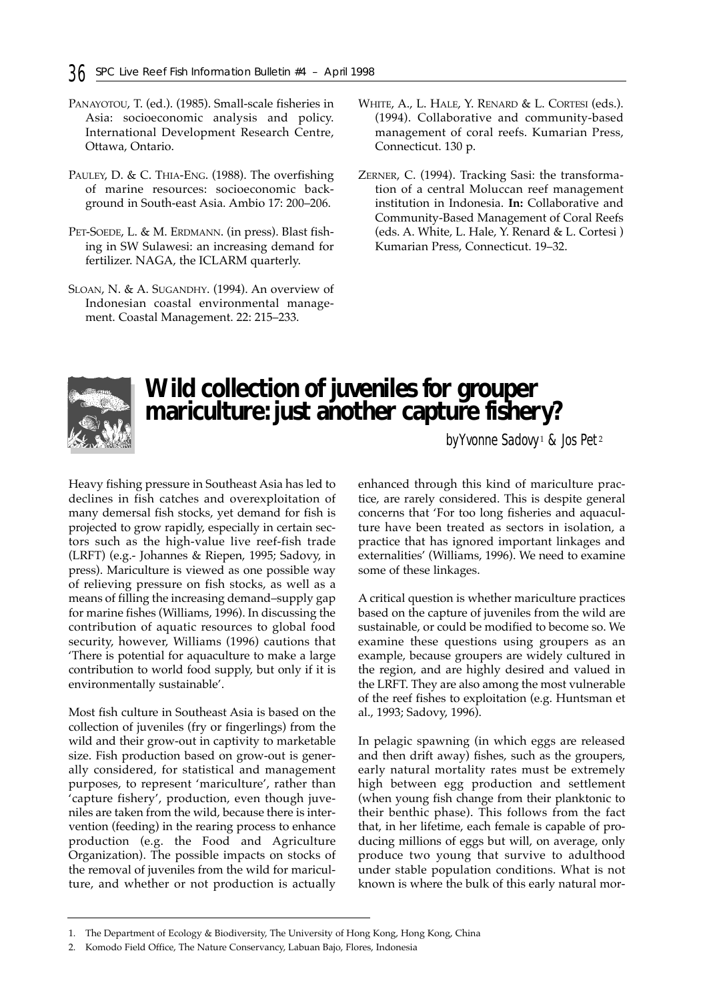- PANAYOTOU, T. (ed.). (1985). Small-scale fisheries in Asia: socioeconomic analysis and policy. International Development Research Centre, Ottawa, Ontario.
- PAULEY, D. & C. THIA-ENG. (1988). The overfishing of marine resources: socioeconomic background in South-east Asia. Ambio 17: 200–206.
- PET-SOEDE, L. & M. ERDMANN. (in press). Blast fishing in SW Sulawesi: an increasing demand for fertilizer. NAGA, the ICLARM quarterly.
- SLOAN, N. & A. SUGANDHY. (1994). An overview of Indonesian coastal environmental management. Coastal Management. 22: 215–233.
- WHITE, A., L. HALE, Y. RENARD & L. CORTESI (eds.). (1994). Collaborative and community-based management of coral reefs. Kumarian Press, Connecticut. 130 p.
- ZERNER, C. (1994). Tracking Sasi: the transformation of a central Moluccan reef management institution in Indonesia. **In:** Collaborative and Community-Based Management of Coral Reefs (eds. A. White, L. Hale, Y. Renard & L. Cortesi ) Kumarian Press, Connecticut. 19–32.



## **Wild collection of juveniles for grouper mariculture: just another capture fishery?**

*by Yvonne Sadovy* <sup>1</sup> *& Jos Pet* <sup>2</sup>

Heavy fishing pressure in Southeast Asia has led to declines in fish catches and overexploitation of many demersal fish stocks, yet demand for fish is projected to grow rapidly, especially in certain sectors such as the high-value live reef-fish trade (LRFT) (e.g.- Johannes & Riepen, 1995; Sadovy, in press). Mariculture is viewed as one possible way of relieving pressure on fish stocks, as well as a means of filling the increasing demand–supply gap for marine fishes (Williams, 1996). In discussing the contribution of aquatic resources to global food security, however, Williams (1996) cautions that 'There is potential for aquaculture to make a large contribution to world food supply, but only if it is environmentally sustainable'.

Most fish culture in Southeast Asia is based on the collection of juveniles (fry or fingerlings) from the wild and their grow-out in captivity to marketable size. Fish production based on grow-out is generally considered, for statistical and management purposes, to represent 'mariculture', rather than 'capture fishery', production, even though juveniles are taken from the wild, because there is intervention (feeding) in the rearing process to enhance production (e.g. the Food and Agriculture Organization). The possible impacts on stocks of the removal of juveniles from the wild for mariculture, and whether or not production is actually enhanced through this kind of mariculture practice, are rarely considered. This is despite general concerns that 'For too long fisheries and aquaculture have been treated as sectors in isolation, a practice that has ignored important linkages and externalities' (Williams, 1996). We need to examine some of these linkages.

A critical question is whether mariculture practices based on the capture of juveniles from the wild are sustainable, or could be modified to become so. We examine these questions using groupers as an example, because groupers are widely cultured in the region, and are highly desired and valued in the LRFT. They are also among the most vulnerable of the reef fishes to exploitation (e.g. Huntsman et al., 1993; Sadovy, 1996).

In pelagic spawning (in which eggs are released and then drift away) fishes, such as the groupers, early natural mortality rates must be extremely high between egg production and settlement (when young fish change from their planktonic to their benthic phase). This follows from the fact that, in her lifetime, each female is capable of producing millions of eggs but will, on average, only produce two young that survive to adulthood under stable population conditions. What is not known is where the bulk of this early natural mor-

<sup>1.</sup> The Department of Ecology & Biodiversity, The University of Hong Kong, Hong Kong, China

<sup>2.</sup> Komodo Field Office, The Nature Conservancy, Labuan Bajo, Flores, Indonesia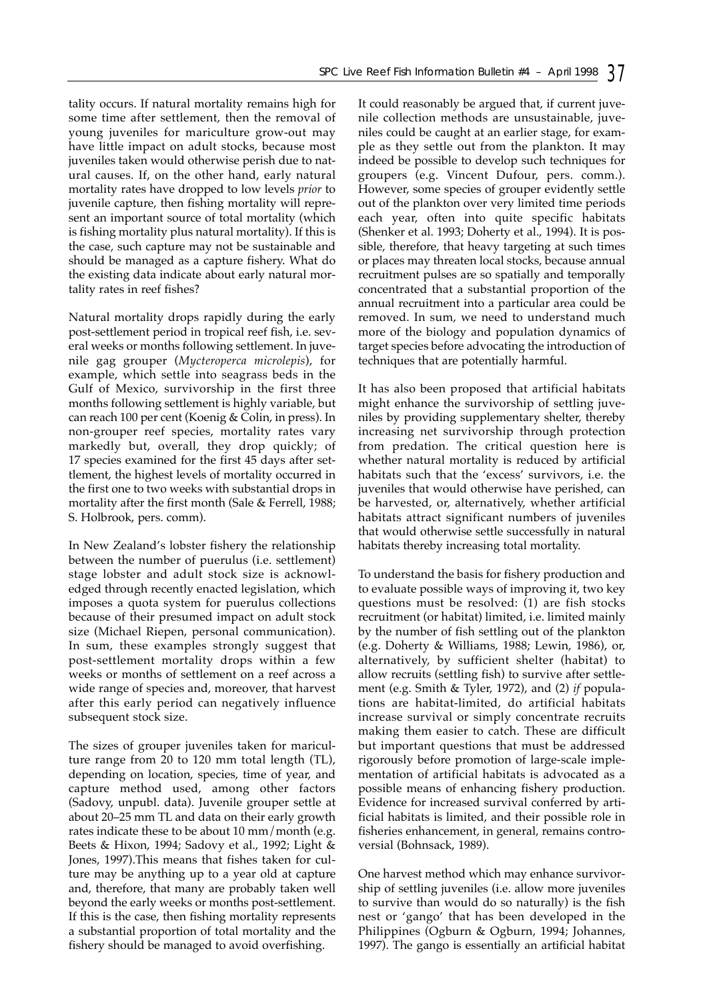tality occurs. If natural mortality remains high for some time after settlement, then the removal of young juveniles for mariculture grow-out may have little impact on adult stocks, because most juveniles taken would otherwise perish due to natural causes. If, on the other hand, early natural mortality rates have dropped to low levels *prior* to juvenile capture, then fishing mortality will represent an important source of total mortality (which is fishing mortality plus natural mortality). If this is the case, such capture may not be sustainable and should be managed as a capture fishery. What do the existing data indicate about early natural mortality rates in reef fishes?

Natural mortality drops rapidly during the early post-settlement period in tropical reef fish, i.e. several weeks or months following settlement. In juvenile gag grouper (*Mycteroperca microlepis*), for example, which settle into seagrass beds in the Gulf of Mexico, survivorship in the first three months following settlement is highly variable, but can reach 100 per cent (Koenig & Colin, in press). In non-grouper reef species, mortality rates vary markedly but, overall, they drop quickly; of 17 species examined for the first 45 days after settlement, the highest levels of mortality occurred in the first one to two weeks with substantial drops in mortality after the first month (Sale & Ferrell, 1988; S. Holbrook, pers. comm).

In New Zealand's lobster fishery the relationship between the number of puerulus (i.e. settlement) stage lobster and adult stock size is acknowledged through recently enacted legislation, which imposes a quota system for puerulus collections because of their presumed impact on adult stock size (Michael Riepen, personal communication). In sum, these examples strongly suggest that post-settlement mortality drops within a few weeks or months of settlement on a reef across a wide range of species and, moreover, that harvest after this early period can negatively influence subsequent stock size.

The sizes of grouper juveniles taken for mariculture range from 20 to 120 mm total length (TL), depending on location, species, time of year, and capture method used, among other factors (Sadovy, unpubl. data). Juvenile grouper settle at about 20–25 mm TL and data on their early growth rates indicate these to be about 10 mm/month (e.g. Beets & Hixon, 1994; Sadovy et al., 1992; Light & Jones, 1997).This means that fishes taken for culture may be anything up to a year old at capture and, therefore, that many are probably taken well beyond the early weeks or months post-settlement. If this is the case, then fishing mortality represents a substantial proportion of total mortality and the fishery should be managed to avoid overfishing.

It could reasonably be argued that, if current juvenile collection methods are unsustainable, juveniles could be caught at an earlier stage, for example as they settle out from the plankton. It may indeed be possible to develop such techniques for groupers (e.g. Vincent Dufour, pers. comm.). However, some species of grouper evidently settle out of the plankton over very limited time periods each year, often into quite specific habitats (Shenker et al. 1993; Doherty et al., 1994). It is possible, therefore, that heavy targeting at such times or places may threaten local stocks, because annual recruitment pulses are so spatially and temporally concentrated that a substantial proportion of the annual recruitment into a particular area could be removed. In sum, we need to understand much more of the biology and population dynamics of target species before advocating the introduction of techniques that are potentially harmful.

It has also been proposed that artificial habitats might enhance the survivorship of settling juveniles by providing supplementary shelter, thereby increasing net survivorship through protection from predation. The critical question here is whether natural mortality is reduced by artificial habitats such that the 'excess' survivors, i.e. the juveniles that would otherwise have perished, can be harvested, or, alternatively, whether artificial habitats attract significant numbers of juveniles that would otherwise settle successfully in natural habitats thereby increasing total mortality.

To understand the basis for fishery production and to evaluate possible ways of improving it, two key questions must be resolved: (1) are fish stocks recruitment (or habitat) limited, i.e. limited mainly by the number of fish settling out of the plankton (e.g. Doherty & Williams, 1988; Lewin, 1986), or, alternatively, by sufficient shelter (habitat) to allow recruits (settling fish) to survive after settlement (e.g. Smith & Tyler, 1972), and (2) *if* populations are habitat-limited, do artificial habitats increase survival or simply concentrate recruits making them easier to catch. These are difficult but important questions that must be addressed rigorously before promotion of large-scale implementation of artificial habitats is advocated as a possible means of enhancing fishery production. Evidence for increased survival conferred by artificial habitats is limited, and their possible role in fisheries enhancement, in general, remains controversial (Bohnsack, 1989).

One harvest method which may enhance survivorship of settling juveniles (i.e. allow more juveniles to survive than would do so naturally) is the fish nest or 'gango' that has been developed in the Philippines (Ogburn & Ogburn, 1994; Johannes, 1997). The gango is essentially an artificial habitat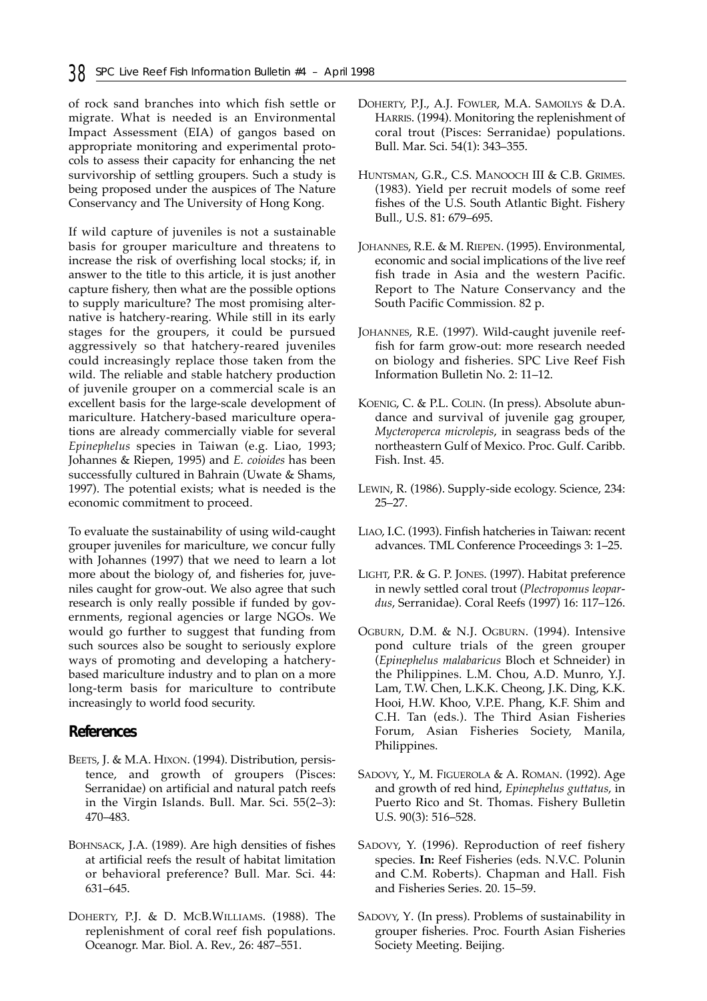of rock sand branches into which fish settle or migrate. What is needed is an Environmental Impact Assessment (EIA) of gangos based on appropriate monitoring and experimental protocols to assess their capacity for enhancing the net survivorship of settling groupers. Such a study is being proposed under the auspices of The Nature Conservancy and The University of Hong Kong.

If wild capture of juveniles is not a sustainable basis for grouper mariculture and threatens to increase the risk of overfishing local stocks; if, in answer to the title to this article, it is just another capture fishery, then what are the possible options to supply mariculture? The most promising alternative is hatchery-rearing. While still in its early stages for the groupers, it could be pursued aggressively so that hatchery-reared juveniles could increasingly replace those taken from the wild. The reliable and stable hatchery production of juvenile grouper on a commercial scale is an excellent basis for the large-scale development of mariculture. Hatchery-based mariculture operations are already commercially viable for several *Epinephelus* species in Taiwan (e.g. Liao, 1993; Johannes & Riepen, 1995) and *E. coioides* has been successfully cultured in Bahrain (Uwate & Shams, 1997). The potential exists; what is needed is the economic commitment to proceed.

To evaluate the sustainability of using wild-caught grouper juveniles for mariculture, we concur fully with Johannes (1997) that we need to learn a lot more about the biology of, and fisheries for, juveniles caught for grow-out. We also agree that such research is only really possible if funded by governments, regional agencies or large NGOs. We would go further to suggest that funding from such sources also be sought to seriously explore ways of promoting and developing a hatcherybased mariculture industry and to plan on a more long-term basis for mariculture to contribute increasingly to world food security.

#### **References**

- BEETS, J. & M.A. HIXON. (1994). Distribution, persistence, and growth of groupers (Pisces: Serranidae) on artificial and natural patch reefs in the Virgin Islands. Bull. Mar. Sci. 55(2–3): 470–483.
- BOHNSACK, J.A. (1989). Are high densities of fishes at artificial reefs the result of habitat limitation or behavioral preference? Bull. Mar. Sci. 44: 631–645.
- DOHERTY, P.J. & D. MCB.WILLIAMS. (1988). The replenishment of coral reef fish populations. Oceanogr. Mar. Biol. A. Rev., 26: 487–551.
- DOHERTY, P.J., A.J. FOWLER, M.A. SAMOILYS & D.A. HARRIS. (1994). Monitoring the replenishment of coral trout (Pisces: Serranidae) populations. Bull. Mar. Sci. 54(1): 343–355.
- HUNTSMAN, G.R., C.S. MANOOCH III & C.B. GRIMES. (1983). Yield per recruit models of some reef fishes of the U.S. South Atlantic Bight. Fishery Bull., U.S. 81: 679–695.
- JOHANNES, R.E. & M. RIEPEN. (1995). Environmental, economic and social implications of the live reef fish trade in Asia and the western Pacific. Report to The Nature Conservancy and the South Pacific Commission. 82 p.
- JOHANNES, R.E. (1997). Wild-caught juvenile reeffish for farm grow-out: more research needed on biology and fisheries. SPC Live Reef Fish Information Bulletin No. 2: 11–12.
- KOENIG, C. & P.L. COLIN. (In press). Absolute abundance and survival of juvenile gag grouper, *Mycteroperca microlepis*, in seagrass beds of the northeastern Gulf of Mexico. Proc. Gulf. Caribb. Fish. Inst. 45.
- LEWIN, R. (1986). Supply-side ecology. Science, 234: 25–27.
- LIAO, I.C. (1993). Finfish hatcheries in Taiwan: recent advances. TML Conference Proceedings 3: 1–25.
- LIGHT, P.R. & G. P. JONES. (1997). Habitat preference in newly settled coral trout (*Plectropomus leopardus*, Serranidae). Coral Reefs (1997) 16: 117–126.
- OGBURN, D.M. & N.J. OGBURN. (1994). Intensive pond culture trials of the green grouper (*Epinephelus malabaricus* Bloch et Schneider) in the Philippines. L.M. Chou, A.D. Munro, Y.J. Lam, T.W. Chen, L.K.K. Cheong, J.K. Ding, K.K. Hooi, H.W. Khoo, V.P.E. Phang, K.F. Shim and C.H. Tan (eds.). The Third Asian Fisheries Forum, Asian Fisheries Society, Manila, Philippines.
- SADOVY, Y., M. FIGUEROLA & A. ROMAN. (1992). Age and growth of red hind, *Epinephelus guttatus*, in Puerto Rico and St. Thomas. Fishery Bulletin U.S. 90(3): 516–528.
- SADOVY, Y. (1996). Reproduction of reef fishery species. **In:** Reef Fisheries (eds. N.V.C. Polunin and C.M. Roberts). Chapman and Hall. Fish and Fisheries Series. 20. 15–59.
- SADOVY, Y. (In press). Problems of sustainability in grouper fisheries. Proc. Fourth Asian Fisheries Society Meeting. Beijing.